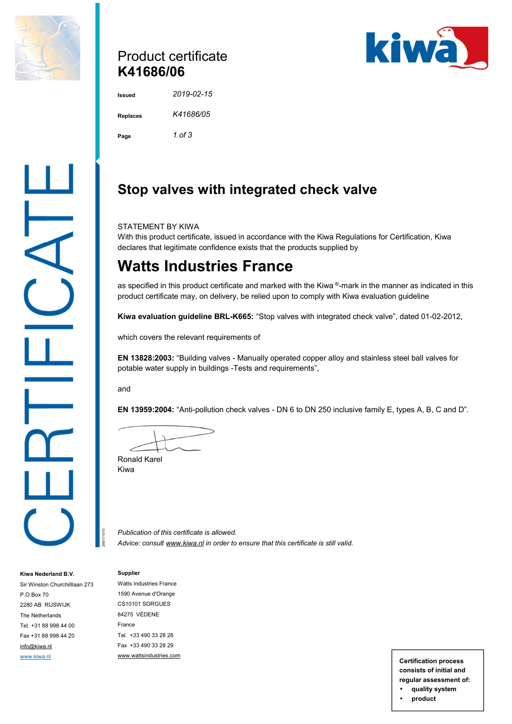

### Product certificate **K41686/06**



**Issued** *2019-02-15*  **Replaces** *K41686/05*  **Page** *1 of 3* 

# **Stop valves with integrated check valve**

STATEMENT BY KIWA

With this product certificate, issued in accordance with the Kiwa Regulations for Certification, Kiwa declares that legitimate confidence exists that the products supplied by

# **Watts Industries France**

as specified in this product certificate and marked with the Kiwa ®-mark in the manner as indicated in this product certificate may, on delivery, be relied upon to comply with Kiwa evaluation guideline

**Kiwa evaluation guideline BRL-K665:** "Stop valves with integrated check valve", dated 01-02-2012,

which covers the relevant requirements of

**EN 13828:2003:** "Building valves - Manually operated copper alloy and stainless steel ball valves for potable water supply in buildings -Tests and requirements",

and

**EN 13959:2004:** "Anti-pollution check valves - DN 6 to DN 250 inclusive family E, types A, B, C and D".

Ronald Karel Kiwa

*Publication of this certificate is allowed. Advice: consult [www.kiwa.nl](http://www.kiwa.nl) in order to ensure that this certificate is still valid.*

### **Supplier**

289/171015

**Kiwa Nederland B.V.**  Sir Winston Churchilllaan 273

P.O.Box 70 2280 AB RIJSWIJK The Netherlands Tel. +31 88 998 44 00 Fax +31 88 998 44 20 [info@kiwa.nl](mailto:info@kiwa.nl)

Watts Industries France 1590 Avenue d'Orange CS10101 SORGUES 84275 VÉDENE France Tel. +33 490 33 28 28 Fax +33 490 33 28 29 [www.wattsindustries.com](http://www.wattsindustries.com) [www.kiwa.nl](http://www.kiwa.nl) **www.wattsindustries.com Certification process Certification process** 

**consists of initial and regular assessment of:** 

• **quality system**  • **product**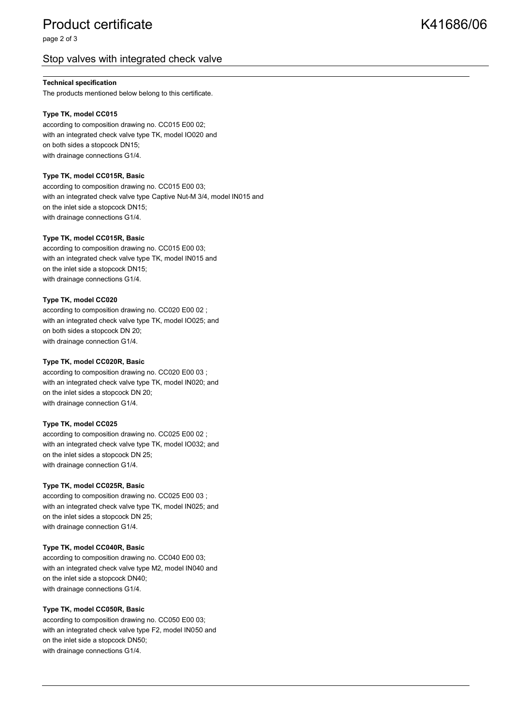## Product certificate New York 1686/06

page 2 of 3

### Stop valves with integrated check valve

### **Technical specification**

The products mentioned below belong to this certificate.

#### **Type TK, model CC015**

according to composition drawing no. CC015 E00 02; with an integrated check valve type TK, model IO020 and on both sides a stopcock DN15; with drainage connections G1/4.

#### **Type TK, model CC015R, Basic**

according to composition drawing no. CC015 E00 03; with an integrated check valve type Captive Nut-M 3/4, model IN015 and on the inlet side a stopcock DN15; with drainage connections G1/4.

#### **Type TK, model CC015R, Basic**

according to composition drawing no. CC015 E00 03; with an integrated check valve type TK, model IN015 and on the inlet side a stopcock DN15; with drainage connections G1/4.

#### **Type TK, model CC020**

according to composition drawing no. CC020 E00 02 ; with an integrated check valve type TK, model IO025; and on both sides a stopcock DN 20; with drainage connection G1/4.

#### **Type TK, model CC020R, Basic**

according to composition drawing no. CC020 E00 03 ; with an integrated check valve type TK, model IN020; and on the inlet sides a stopcock DN 20; with drainage connection G1/4.

#### **Type TK, model CC025**

according to composition drawing no. CC025 E00 02 ; with an integrated check valve type TK, model IO032; and on the inlet sides a stopcock DN 25; with drainage connection G1/4.

#### **Type TK, model CC025R, Basic**

according to composition drawing no. CC025 E00 03 ; with an integrated check valve type TK, model IN025; and on the inlet sides a stopcock DN 25; with drainage connection G1/4.

#### **Type TK, model CC040R, Basic**

according to composition drawing no. CC040 E00 03; with an integrated check valve type M2, model IN040 and on the inlet side a stopcock DN40; with drainage connections G1/4.

### **Type TK, model CC050R, Basic**

according to composition drawing no. CC050 E00 03; with an integrated check valve type F2, model IN050 and on the inlet side a stopcock DN50; with drainage connections G1/4.